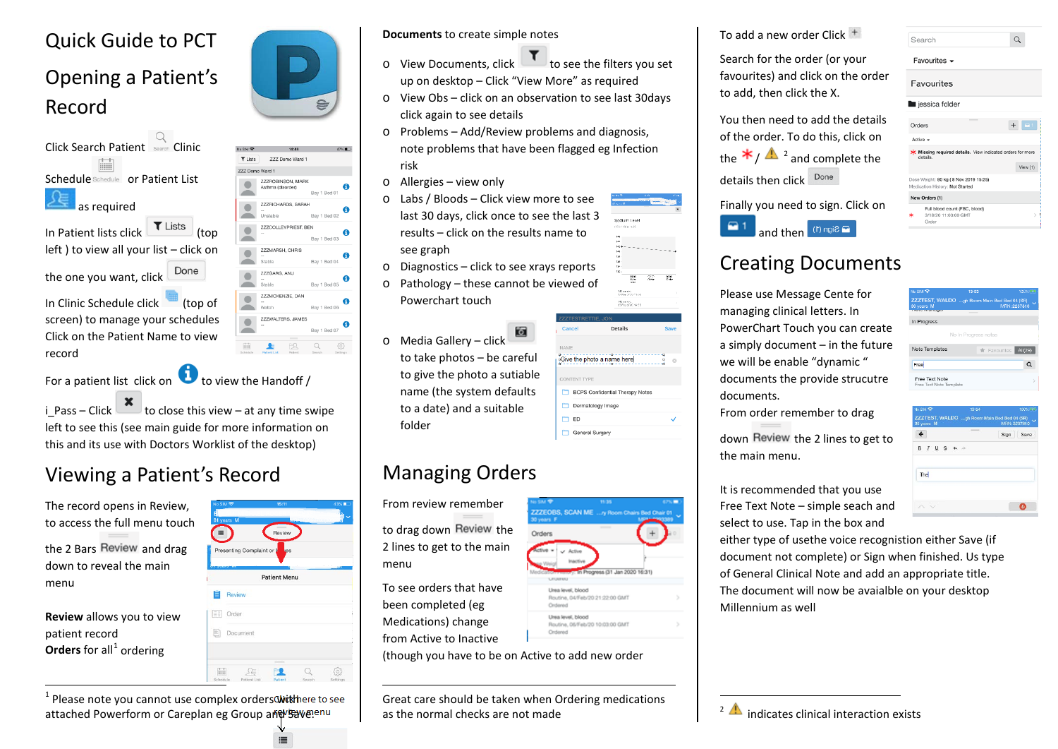#### Quick Guide to PCT

# Opening a Patient's Record





 $\blacktriangle$ ER  $\Box$ -63

For a patient list click on to view the Handoff /

i Pass – Click  $\sim$  to close this view – at any time swipe left to see this (see main guide for more information on this and its use with Doctors Worklist of the desktop)

## Viewing a Patient's Record

The record opens in Review, to access the full menu touch

record

the 2 Bars Review and drag down to reveal the main menu

**Review** allows you to view patient record **Orders** for all<sup>[1](#page-0-0)</sup> ordering

| No SIM 全<br>E<br>81 years M |                           | 15:11               |          | 43%■ |
|-----------------------------|---------------------------|---------------------|----------|------|
| 這                           |                           | Review              |          |      |
|                             | Presenting Complaint or L | <b>Jes</b>          |          |      |
|                             |                           | <b>Patient Menu</b> |          |      |
| E                           | Review                    |                     |          |      |
| Ex i<br>Order               |                           |                     |          |      |
| EI                          | Document                  |                     |          |      |
|                             |                           |                     |          |      |
| Palendele                   | to Kings & Find           |                     | Paranti- |      |

 $1$  Please note you cannot use complex orders withere to see attached Powerform or Careplan eg Group and Savenu

#### **Documents** to create simple notes

- $\circ$  View Documents, click  $\Box$  to see the filters you set up on desktop – Click "View More" as required
- o View Obs click on an observation to see last 30days click again to see details
- o Problems Add/Review problems and diagnosis, note problems that have been flagged eg Infection risk
- o Allergies view only
- o Labs / Bloods Click view more to see last 30 days, click once to see the last 3 results – click on the results name to see graph
- o Diagnostics click to see xrays reports
- o Pathology these cannot be viewed of Powerchart touch
- o Media Gallery click to take photos – be careful to give the photo a sutiable name (the system defaults to a date) and a suitable

## Managing Orders

From review remember

folder

to drag down Review the 2 lines to get to the main menu

To see orders that have been completed (eg Medications) change from Active to Inactive

 $\overline{a}$ 

(though you have to be on Active to add new order

Great care should be taken when Ordering medications as the normal checks are not made

<span id="page-0-1"></span><span id="page-0-0"></span>To add a new order Click

Search for the order (or your favourites) and click on the order to add, then click the X.

You then need to add the details of the order. To do this, click on the  $\star$  /  $\Lambda$  <sup>[2](#page-0-1)</sup> and complete the details then click Done

**Finally** 



| you need to sign. Click on                    |  |
|-----------------------------------------------|--|
| and then $\left(1\right)$ ngia $\blacksquare$ |  |

| Orders        |                                                                               |  | $\blacksquare$ 1 |  |
|---------------|-------------------------------------------------------------------------------|--|------------------|--|
| Active $\sim$ |                                                                               |  |                  |  |
|               | <b>K</b> Missing required details. View indicated orders for more<br>details. |  |                  |  |
|               |                                                                               |  | View(1)          |  |
|               | Oose Weight: 80 kg (8 Nov 2019 15:25)<br>Medication History: Not Started      |  |                  |  |
|               | New Orders (1)                                                                |  |                  |  |
| k             | Full blood count (FBC, blood)<br>3/18/20 11:03:00 GMT<br>Order                |  |                  |  |
|               |                                                                               |  |                  |  |

Search Favourites Favourites

lessica folder

 $\alpha$ 

# Creating Documents

Please use Message Cente for managing clinical letters. In PowerChart Touch you can create a simply document – in the future we will be enable "dynamic " documents the provide strucutre documents.

From order remember to drag

down Review the 2 lines to get to the main menu.

It is recommended that you use Free Text Note – simple seach and select to use. Tap in the box and

either type of usethe voice recognistion either Save (if document not complete) or Sign when finished. Us type of General Clinical Note and add an appropriate title. The document will now be avaialble on your desktop Millennium as well

| In Progress                               |                                             |              |
|-------------------------------------------|---------------------------------------------|--------------|
|                                           | No In Progress notes                        |              |
| Note Templates                            | Favourites All(29)                          |              |
| Free                                      |                                             |              |
| Free Text Note<br>Free Text Note Template |                                             |              |
| No SM <sup></sup>                         | 13:54                                       | 100% (867)   |
| 30 years M                                | ZZZTEST, WALDO gh Room Main Bed Bed 04 (SR) | MRN: 2237810 |

ZZTEST, WALDO ...gh Room Main Bed I

| ı                | Sign<br>Save |
|------------------|--------------|
| $B I \sqcup S +$ |              |
| The              |              |
|                  |              |

**722FORS, SCAN ME ... A Boom Chairs Bed Chair** Orders 101-Jan 2020 16:31 Lines local, Newy



Routine, 06/Feb/20 10:03:00 GMT

<sup>2</sup>  $\triangle$  indicates clinical interaction exists

 $\overline{a}$ 





140 mm or c.<br>17 Mm 2020 11

142 mm of L<br>25 Fm x 2000 14 ff5 Detaile <sup>o</sup>Give the photo a name here **BCPS** Confidential Therapy Notes Dermatology Imag m er General Surger